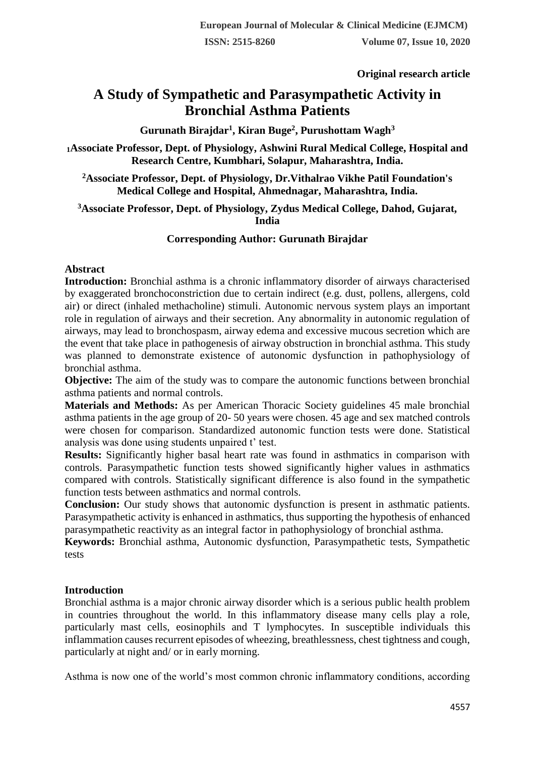**Original research article** 

# **A Study of Sympathetic and Parasympathetic Activity in Bronchial Asthma Patients**

**Gurunath Birajdar<sup>1</sup> , Kiran Buge<sup>2</sup> , Purushottam Wagh<sup>3</sup>**

**<sup>1</sup>Associate Professor, Dept. of Physiology, Ashwini Rural Medical College, Hospital and Research Centre, Kumbhari, Solapur, Maharashtra, India.**

**<sup>2</sup>Associate Professor, Dept. of Physiology, Dr.Vithalrao Vikhe Patil Foundation's Medical College and Hospital, Ahmednagar, Maharashtra, India.**

**<sup>3</sup>Associate Professor, Dept. of Physiology, Zydus Medical College, Dahod, Gujarat, India**

## **Corresponding Author: Gurunath Birajdar**

#### **Abstract**

**Introduction:** Bronchial asthma is a chronic inflammatory disorder of airways characterised by exaggerated bronchoconstriction due to certain indirect (e.g. dust, pollens, allergens, cold air) or direct (inhaled methacholine) stimuli. Autonomic nervous system plays an important role in regulation of airways and their secretion. Any abnormality in autonomic regulation of airways, may lead to bronchospasm, airway edema and excessive mucous secretion which are the event that take place in pathogenesis of airway obstruction in bronchial asthma. This study was planned to demonstrate existence of autonomic dysfunction in pathophysiology of bronchial asthma.

**Objective:** The aim of the study was to compare the autonomic functions between bronchial asthma patients and normal controls.

**Materials and Methods:** As per American Thoracic Society guidelines 45 male bronchial asthma patients in the age group of 20- 50 years were chosen. 45 age and sex matched controls were chosen for comparison. Standardized autonomic function tests were done. Statistical analysis was done using students unpaired t' test.

**Results:** Significantly higher basal heart rate was found in asthmatics in comparison with controls. Parasympathetic function tests showed significantly higher values in asthmatics compared with controls. Statistically significant difference is also found in the sympathetic function tests between asthmatics and normal controls.

**Conclusion:** Our study shows that autonomic dysfunction is present in asthmatic patients. Parasympathetic activity is enhanced in asthmatics, thus supporting the hypothesis of enhanced parasympathetic reactivity as an integral factor in pathophysiology of bronchial asthma.

**Keywords:** Bronchial asthma, Autonomic dysfunction, Parasympathetic tests, Sympathetic tests

## **Introduction**

Bronchial asthma is a major chronic airway disorder which is a serious public health problem in countries throughout the world. In this inflammatory disease many cells play a role, particularly mast cells, eosinophils and T lymphocytes. In susceptible individuals this inflammation causes recurrent episodes of wheezing, breathlessness, chest tightness and cough, particularly at night and/ or in early morning.

Asthma is now one of the world's most common chronic inflammatory conditions, according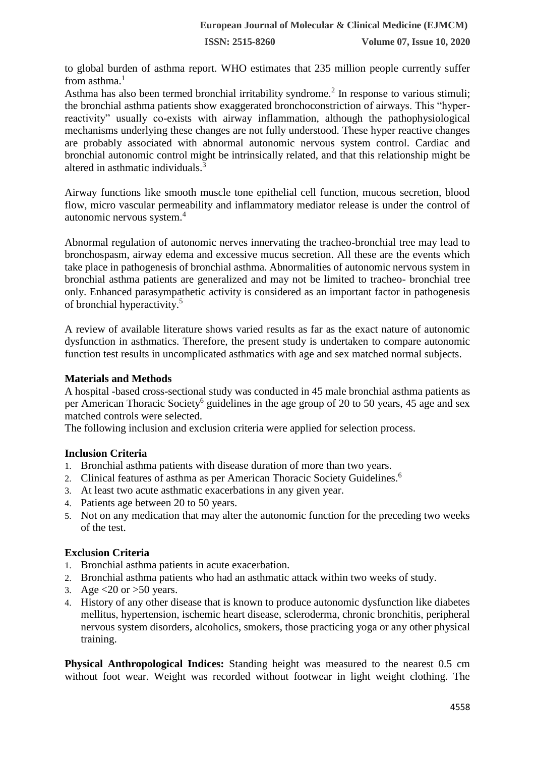to global burden of asthma report. WHO estimates that 235 million people currently suffer from asthma. $<sup>1</sup>$ </sup>

Asthma has also been termed bronchial irritability syndrome.<sup>2</sup> In response to various stimuli; the bronchial asthma patients show exaggerated bronchoconstriction of airways. This "hyperreactivity" usually co-exists with airway inflammation, although the pathophysiological mechanisms underlying these changes are not fully understood. These hyper reactive changes are probably associated with abnormal autonomic nervous system control. Cardiac and bronchial autonomic control might be intrinsically related, and that this relationship might be altered in asthmatic individuals  $\frac{3}{3}$ 

Airway functions like smooth muscle tone epithelial cell function, mucous secretion, blood flow, micro vascular permeability and inflammatory mediator release is under the control of autonomic nervous system.<sup>4</sup>

Abnormal regulation of autonomic nerves innervating the tracheo-bronchial tree may lead to bronchospasm, airway edema and excessive mucus secretion. All these are the events which take place in pathogenesis of bronchial asthma. Abnormalities of autonomic nervous system in bronchial asthma patients are generalized and may not be limited to tracheo- bronchial tree only. Enhanced parasympathetic activity is considered as an important factor in pathogenesis of bronchial hyperactivity.<sup>5</sup>

A review of available literature shows varied results as far as the exact nature of autonomic dysfunction in asthmatics. Therefore, the present study is undertaken to compare autonomic function test results in uncomplicated asthmatics with age and sex matched normal subjects.

#### **Materials and Methods**

A hospital -based cross-sectional study was conducted in 45 male bronchial asthma patients as per American Thoracic Society<sup>6</sup> guidelines in the age group of 20 to 50 years, 45 age and sex matched controls were selected.

The following inclusion and exclusion criteria were applied for selection process.

## **Inclusion Criteria**

- 1. Bronchial asthma patients with disease duration of more than two years.
- 2. Clinical features of asthma as per American Thoracic Society Guidelines.<sup>6</sup>
- 3. At least two acute asthmatic exacerbations in any given year.
- 4. Patients age between 20 to 50 years.
- 5. Not on any medication that may alter the autonomic function for the preceding two weeks of the test.

#### **Exclusion Criteria**

- 1. Bronchial asthma patients in acute exacerbation.
- 2. Bronchial asthma patients who had an asthmatic attack within two weeks of study.
- 3. Age  $\lt 20$  or  $>50$  years.
- 4. History of any other disease that is known to produce autonomic dysfunction like diabetes mellitus, hypertension, ischemic heart disease, scleroderma, chronic bronchitis, peripheral nervous system disorders, alcoholics, smokers, those practicing yoga or any other physical training.

**Physical Anthropological Indices:** Standing height was measured to the nearest 0.5 cm without foot wear. Weight was recorded without footwear in light weight clothing. The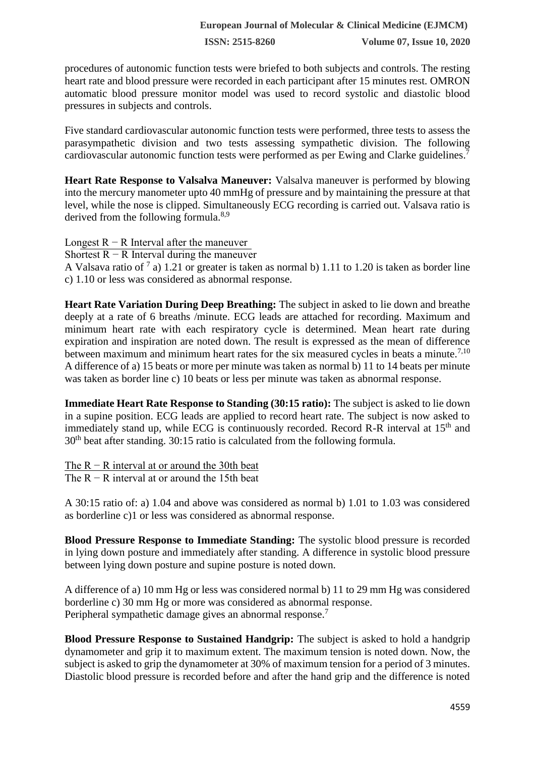**ISSN: 2515-8260 Volume 07, Issue 10, 2020**

procedures of autonomic function tests were briefed to both subjects and controls. The resting heart rate and blood pressure were recorded in each participant after 15 minutes rest. OMRON automatic blood pressure monitor model was used to record systolic and diastolic blood pressures in subjects and controls.

Five standard cardiovascular autonomic function tests were performed, three tests to assess the parasympathetic division and two tests assessing sympathetic division. The following cardiovascular autonomic function tests were performed as per Ewing and Clarke guidelines.<sup>7</sup>

**Heart Rate Response to Valsalva Maneuver:** Valsalva maneuver is performed by blowing into the mercury manometer upto 40 mmHg of pressure and by maintaining the pressure at that level, while the nose is clipped. Simultaneously ECG recording is carried out. Valsava ratio is derived from the following formula.<sup>8,9</sup>

Longest  $R - R$  Interval after the maneuver

Shortest  $R - R$  Interval during the maneuver

A Valsava ratio of  $^7$  a) 1.21 or greater is taken as normal b) 1.11 to 1.20 is taken as border line c) 1.10 or less was considered as abnormal response.

**Heart Rate Variation During Deep Breathing:** The subject in asked to lie down and breathe deeply at a rate of 6 breaths /minute. ECG leads are attached for recording. Maximum and minimum heart rate with each respiratory cycle is determined. Mean heart rate during expiration and inspiration are noted down. The result is expressed as the mean of difference between maximum and minimum heart rates for the six measured cycles in beats a minute.<sup>7,10</sup> A difference of a) 15 beats or more per minute was taken as normal b) 11 to 14 beats per minute was taken as border line c) 10 beats or less per minute was taken as abnormal response.

**Immediate Heart Rate Response to Standing (30:15 ratio):** The subject is asked to lie down in a supine position. ECG leads are applied to record heart rate. The subject is now asked to immediately stand up, while ECG is continuously recorded. Record R-R interval at 15<sup>th</sup> and 30th beat after standing. 30:15 ratio is calculated from the following formula.

The  $R - R$  interval at or around the 30th beat

The  $R - R$  interval at or around the 15th beat

A 30:15 ratio of: a) 1.04 and above was considered as normal b) 1.01 to 1.03 was considered as borderline c)1 or less was considered as abnormal response.

**Blood Pressure Response to Immediate Standing:** The systolic blood pressure is recorded in lying down posture and immediately after standing. A difference in systolic blood pressure between lying down posture and supine posture is noted down.

A difference of a) 10 mm Hg or less was considered normal b) 11 to 29 mm Hg was considered borderline c) 30 mm Hg or more was considered as abnormal response. Peripheral sympathetic damage gives an abnormal response.<sup>7</sup>

**Blood Pressure Response to Sustained Handgrip:** The subject is asked to hold a handgrip dynamometer and grip it to maximum extent. The maximum tension is noted down. Now, the subject is asked to grip the dynamometer at 30% of maximum tension for a period of 3 minutes. Diastolic blood pressure is recorded before and after the hand grip and the difference is noted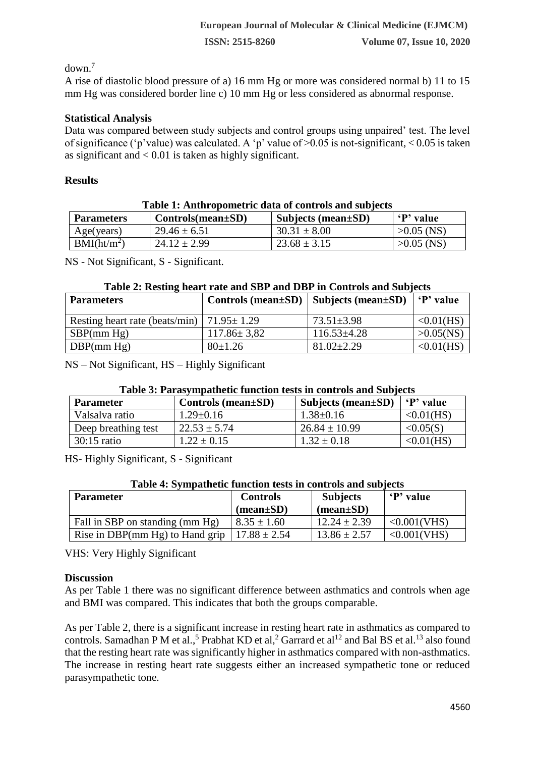down.<sup>7</sup>

A rise of diastolic blood pressure of a) 16 mm Hg or more was considered normal b) 11 to 15 mm Hg was considered border line c) 10 mm Hg or less considered as abnormal response.

## **Statistical Analysis**

Data was compared between study subjects and control groups using unpaired' test. The level of significance ('p'value) was calculated. A 'p' value of >0.05 is not-significant, < 0.05 is taken as significant and  $< 0.01$  is taken as highly significant.

# **Results**

| Table 1: Anthropometric data of controls and subjects |                         |                           |              |  |  |
|-------------------------------------------------------|-------------------------|---------------------------|--------------|--|--|
| <b>Parameters</b>                                     | $Controls(mean \pm SD)$ | Subjects (mean $\pm SD$ ) | P' value     |  |  |
| Age(years)                                            | $29.46 \pm 6.51$        | $30.31 \pm 8.00$          | $>0.05$ (NS) |  |  |
| BMI(ht/m <sup>2</sup> )                               | $24.12 \pm 2.99$        | $23.68 \pm 3.15$          | $>0.05$ (NS) |  |  |

NS - Not Significant, S - Significant.

## **Table 2: Resting heart rate and SBP and DBP in Controls and Subjects**

| <b>Parameters</b>                                 | Controls (mean $\pm SD$ )   Subjects (mean $\pm SD$ ) |                   | P' value     |
|---------------------------------------------------|-------------------------------------------------------|-------------------|--------------|
| Resting heart rate (beats/min)   $71.95 \pm 1.29$ |                                                       | $73.51 \pm 3.98$  | <0.01(HS)    |
| SBP(mm Hg)                                        | $117.86 \pm 3.82$                                     | $116.53 \pm 4.28$ | $>0.05$ (NS) |
| $\overline{DBP}$ (mm Hg)                          | $80 \pm 1.26$                                         | $81.02 \pm 2.29$  | <0.01(HS)    |

NS – Not Significant, HS – Highly Significant

## **Table 3: Parasympathetic function tests in controls and Subjects**

| <b>Parameter</b>    | Controls (mean $\pm SD$ ) | Subjects (mean ± SD) | 'P' value |
|---------------------|---------------------------|----------------------|-----------|
| Valsalva ratio      | $1.29 \pm 0.16$           | $1.38 \pm 0.16$      | <0.01(HS) |
| Deep breathing test | $22.53 \pm 5.74$          | $26.84 \pm 10.99$    | < 0.05(S) |
| $30:15$ ratio       | $1.22 \pm 0.15$           | $1.32 \pm 0.18$      | <0.01(HS) |

HS- Highly Significant, S - Significant

## **Table 4: Sympathetic function tests in controls and subjects**

| <b>Parameter</b>                                   | <b>Controls</b><br>$(\text{mean}\pm\text{SD})$ | <b>Subjects</b><br>$(mean \pm SD)$ | P' value    |
|----------------------------------------------------|------------------------------------------------|------------------------------------|-------------|
| Fall in SBP on standing (mm Hg)                    | $8.35 \pm 1.60$                                | $12.24 \pm 2.39$                   | <0.001(VHS) |
| Rise in DBP(mm Hg) to Hand grip   $17.88 \pm 2.54$ |                                                | $13.86 \pm 2.57$                   | <0.001(VHS) |

VHS: Very Highly Significant

## **Discussion**

As per Table 1 there was no significant difference between asthmatics and controls when age and BMI was compared. This indicates that both the groups comparable.

As per Table 2, there is a significant increase in resting heart rate in asthmatics as compared to controls. Samadhan P M et al.,<sup>5</sup> Prabhat KD et al,<sup>2</sup> Garrard et al<sup>12</sup> and Bal BS et al.<sup>13</sup> also found that the resting heart rate was significantly higher in asthmatics compared with non-asthmatics. The increase in resting heart rate suggests either an increased sympathetic tone or reduced parasympathetic tone.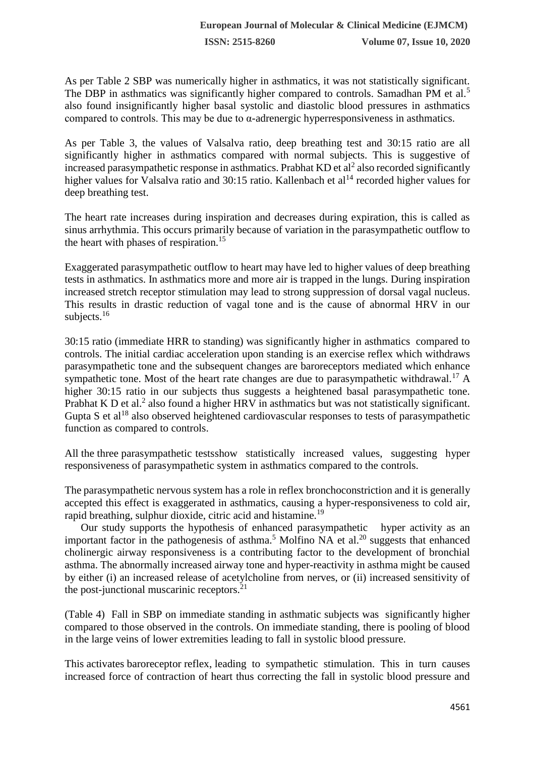As per Table 2 SBP was numerically higher in asthmatics, it was not statistically significant. The DBP in asthmatics was significantly higher compared to controls. Samadhan PM et al.<sup>5</sup> also found insignificantly higher basal systolic and diastolic blood pressures in asthmatics compared to controls. This may be due to  $\alpha$ -adrenergic hyperresponsiveness in asthmatics.

As per Table 3, the values of Valsalva ratio, deep breathing test and 30:15 ratio are all significantly higher in asthmatics compared with normal subjects. This is suggestive of increased parasympathetic response in asthmatics. Prabhat  $KD$  et al<sup>2</sup> also recorded significantly higher values for Valsalva ratio and 30:15 ratio. Kallenbach et al<sup>14</sup> recorded higher values for deep breathing test.

The heart rate increases during inspiration and decreases during expiration, this is called as sinus arrhythmia. This occurs primarily because of variation in the parasympathetic outflow to the heart with phases of respiration.<sup>15</sup>

Exaggerated parasympathetic outflow to heart may have led to higher values of deep breathing tests in asthmatics. In asthmatics more and more air is trapped in the lungs. During inspiration increased stretch receptor stimulation may lead to strong suppression of dorsal vagal nucleus. This results in drastic reduction of vagal tone and is the cause of abnormal HRV in our subjects.<sup>16</sup>

30:15 ratio (immediate HRR to standing) was significantly higher in asthmatics compared to controls. The initial cardiac acceleration upon standing is an exercise reflex which withdraws parasympathetic tone and the subsequent changes are baroreceptors mediated which enhance sympathetic tone. Most of the heart rate changes are due to parasympathetic withdrawal.<sup>17</sup> A higher 30:15 ratio in our subjects thus suggests a heightened basal parasympathetic tone. Prabhat K D et al.<sup>2</sup> also found a higher HRV in asthmatics but was not statistically significant. Gupta S et al<sup>18</sup> also observed heightened cardiovascular responses to tests of parasympathetic function as compared to controls.

All the three parasympathetic testsshow statistically increased values, suggesting hyper responsiveness of parasympathetic system in asthmatics compared to the controls.

The parasympathetic nervous system has a role in reflex bronchoconstriction and it is generally accepted this effect is exaggerated in asthmatics, causing a hyper-responsiveness to cold air, rapid breathing, sulphur dioxide, citric acid and histamine.<sup>19</sup>

Our study supports the hypothesis of enhanced parasympathetic hyper activity as an important factor in the pathogenesis of asthma.<sup>5</sup> Molfino NA et al.<sup>20</sup> suggests that enhanced cholinergic airway responsiveness is a contributing factor to the development of bronchial asthma. The abnormally increased airway tone and hyper-reactivity in asthma might be caused by either (i) an increased release of acetylcholine from nerves, or (ii) increased sensitivity of the post-junctional muscarinic receptors. $21$ 

(Table 4) Fall in SBP on immediate standing in asthmatic subjects was significantly higher compared to those observed in the controls. On immediate standing, there is pooling of blood in the large veins of lower extremities leading to fall in systolic blood pressure.

This activates baroreceptor reflex, leading to sympathetic stimulation. This in turn causes increased force of contraction of heart thus correcting the fall in systolic blood pressure and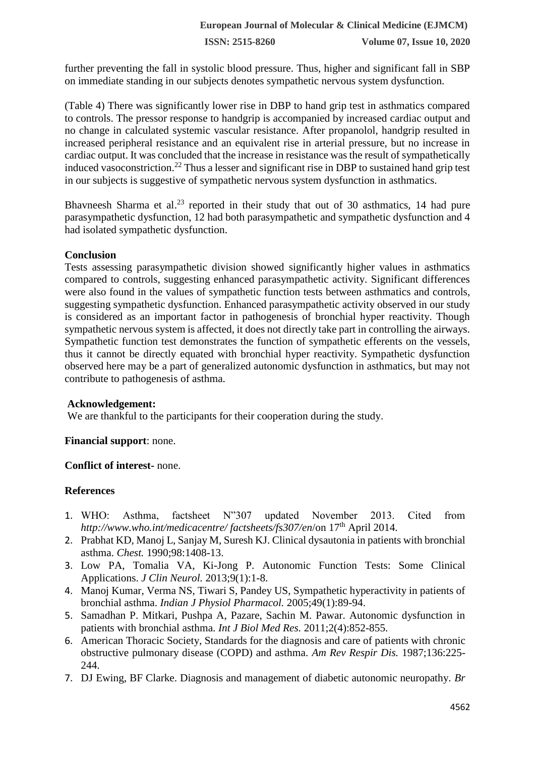further preventing the fall in systolic blood pressure. Thus, higher and significant fall in SBP on immediate standing in our subjects denotes sympathetic nervous system dysfunction.

(Table 4) There was significantly lower rise in DBP to hand grip test in asthmatics compared to controls. The pressor response to handgrip is accompanied by increased cardiac output and no change in calculated systemic vascular resistance. After propanolol, handgrip resulted in increased peripheral resistance and an equivalent rise in arterial pressure, but no increase in cardiac output. It was concluded that the increase in resistance was the result of sympathetically induced vasoconstriction.<sup>22</sup> Thus a lesser and significant rise in DBP to sustained hand grip test in our subjects is suggestive of sympathetic nervous system dysfunction in asthmatics.

Bhavneesh Sharma et al.<sup>23</sup> reported in their study that out of 30 asthmatics, 14 had pure parasympathetic dysfunction, 12 had both parasympathetic and sympathetic dysfunction and 4 had isolated sympathetic dysfunction.

#### **Conclusion**

Tests assessing parasympathetic division showed significantly higher values in asthmatics compared to controls, suggesting enhanced parasympathetic activity. Significant differences were also found in the values of sympathetic function tests between asthmatics and controls, suggesting sympathetic dysfunction. Enhanced parasympathetic activity observed in our study is considered as an important factor in pathogenesis of bronchial hyper reactivity. Though sympathetic nervous system is affected, it does not directly take part in controlling the airways. Sympathetic function test demonstrates the function of sympathetic efferents on the vessels, thus it cannot be directly equated with bronchial hyper reactivity. Sympathetic dysfunction observed here may be a part of generalized autonomic dysfunction in asthmatics, but may not contribute to pathogenesis of asthma.

#### **Acknowledgement:**

We are thankful to the participants for their cooperation during the study.

#### **Financial support**: none.

#### **Conflict of interest-** none.

#### **References**

- 1. WHO: Asthma, factsheet N"307 updated November 2013. Cited from *http://www.who.int/medicacentre/ factsheets/fs307/en*/on 17th April 2014.
- 2. Prabhat KD, Manoj L, Sanjay M, Suresh KJ. Clinical dysautonia in patients with bronchial asthma. *Chest.* 1990;98:1408-13.
- 3. Low PA, Tomalia VA, Ki-Jong P. Autonomic Function Tests: Some Clinical Applications. *J Clin Neurol.* 2013;9(1):1-8.
- 4. Manoj Kumar, Verma NS, Tiwari S, Pandey US, Sympathetic hyperactivity in patients of bronchial asthma. *Indian J Physiol Pharmacol.* 2005;49(1):89-94.
- 5. Samadhan P. Mitkari, Pushpa A, Pazare, Sachin M. Pawar. Autonomic dysfunction in patients with bronchial asthma. *Int J Biol Med Res.* 2011;2(4):852-855.
- 6. American Thoracic Society, Standards for the diagnosis and care of patients with chronic obstructive pulmonary disease (COPD) and asthma. *Am Rev Respir Dis.* 1987;136:225- 244.
- 7. DJ Ewing, BF Clarke. Diagnosis and management of diabetic autonomic neuropathy. *Br*